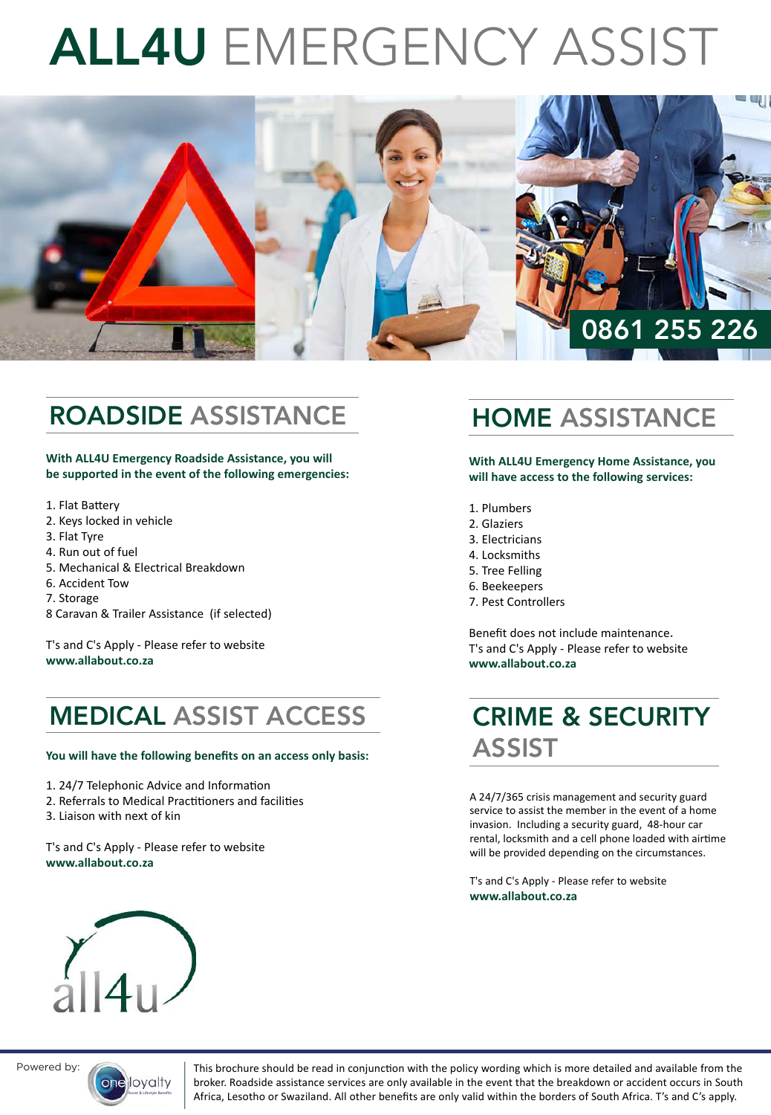# ALL4U EMERGENCY ASSIST



# ROADSIDE ASSISTANCE

**With ALL4U Emergency Roadside Assistance, you will be supported in the event of the following emergencies:**

- 1. Flat Battery
- 2. Keys locked in vehicle
- 3. Flat Tyre
- 4. Run out of fuel
- 5. Mechanical & Electrical Breakdown
- 6. Accident Tow
- 7. Storage
- 8 Caravan & Trailer Assistance (if selected)

T's and C's Apply - Please refer to website **www.allabout.co.za**

### MEDICAL ASSIST ACCESS

#### **You will have the following benefits on an access only basis:**

- 1. 24/7 Telephonic Advice and Information
- 2. Referrals to Medical Practitioners and facilities
- 3. Liaison with next of kin

T's and C's Apply - Please refer to website **www.allabout.co.za**

#### HOME ASSISTANCE

**With ALL4U Emergency Home Assistance, you will have access to the following services:**

- 1. Plumbers
- 2. Glaziers
- 3. Electricians
- 4. Locksmiths
- 5. Tree Felling
- 6. Beekeepers
- 7. Pest Controllers

Benefit does not include maintenance**.**  T's and C's Apply - Please refer to website **www.allabout.co.za**

#### CRIME & SECURITY ASSIST

A 24/7/365 crisis management and security guard service to assist the member in the event of a home invasion. Including a security guard, 48-hour car rental, locksmith and a cell phone loaded with airtime will be provided depending on the circumstances.

T's and C's Apply - Please refer to website **www.allabout.co.za**





Powered by: This brochure should be read in conjunction with the policy wording which is more detailed and available from the broker. Roadside assistance services are only available in the event that the breakdown or accident occurs in South Africa, Lesotho or Swaziland. All other benefits are only valid within the borders of South Africa. T's and C's apply.